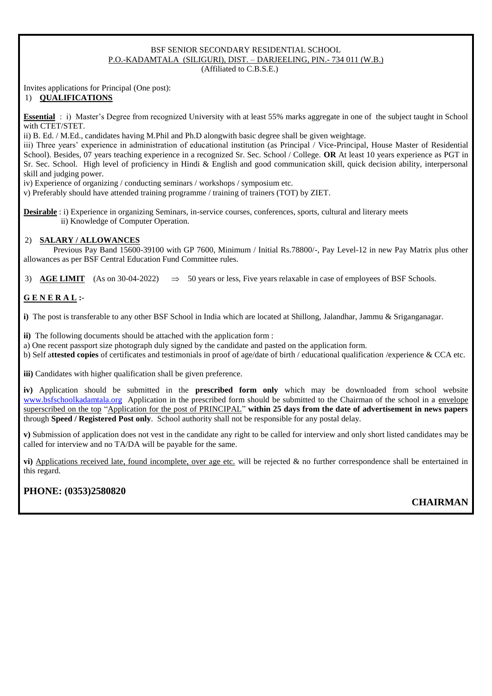#### BSF SENIOR SECONDARY RESIDENTIAL SCHOOL P.O.-KADAMTALA (SILIGURI), DIST. – DARJEELING, PIN.- 734 011 (W.B.) (Affiliated to C.B.S.E.)

Invites applications for Principal (One post):

#### 1) **QUALIFICATIONS**

**Essential** : i) Master's Degree from recognized University with at least 55% marks aggregate in one of the subject taught in School with CTET/STET.

ii) B. Ed. / M.Ed., candidates having M.Phil and Ph.D alongwith basic degree shall be given weightage.

iii) Three years' experience in administration of educational institution (as Principal / Vice-Principal, House Master of Residential School). Besides, 07 years teaching experience in a recognized Sr. Sec. School / College. **OR** At least 10 years experience as PGT in Sr. Sec. School. High level of proficiency in Hindi & English and good communication skill, quick decision ability, interpersonal skill and judging power.

iv) Experience of organizing / conducting seminars / workshops / symposium etc.

v) Preferably should have attended training programme / training of trainers (TOT) by ZIET.

**Desirable**: i) Experience in organizing Seminars, in-service courses, conferences, sports, cultural and literary meets ii) Knowledge of Computer Operation.

#### 2) **SALARY / ALLOWANCES**

Previous Pay Band 15600-39100 with GP 7600, Minimum / Initial Rs.78800/-, Pay Level-12 in new Pay Matrix plus other allowances as per BSF Central Education Fund Committee rules.

3) **AGE LIMIT** (As on 30-04-2022)  $\Rightarrow$  50 years or less. Five years relaxable in case of employees of BSF Schools.

#### **G E N E R A L :**-

**i)** The post is transferable to any other BSF School in India which are located at Shillong, Jalandhar, Jammu & Sriganganagar.

**ii)** The following documents should be attached with the application form :

a) One recent passport size photograph duly signed by the candidate and pasted on the application form.

b) Self a**ttested copies** of certificates and testimonials in proof of age/date of birth / educational qualification /experience & CCA etc.

**iii**) Candidates with higher qualification shall be given preference.

**iv)** Application should be submitted in the **prescribed form only** which may be downloaded from school website [www.bsfschoolkadamtala.org](http://www.bsfschoolkadamtala.org/) Application in the prescribed form should be submitted to the Chairman of the school in a envelope superscribed on the top "Application for the post of PRINCIPAL" **within 25 days from the date of advertisement in news papers** through **Speed / Registered Post only**. School authority shall not be responsible for any postal delay.

**v)** Submission of application does not vest in the candidate any right to be called for interview and only short listed candidates may be called for interview and no TA/DA will be payable for the same.

**vi)** Applications received late, found incomplete, over age etc. will be rejected & no further correspondence shall be entertained in this regard.

### **PHONE: (0353)2580820**

### **CHAIRMAN**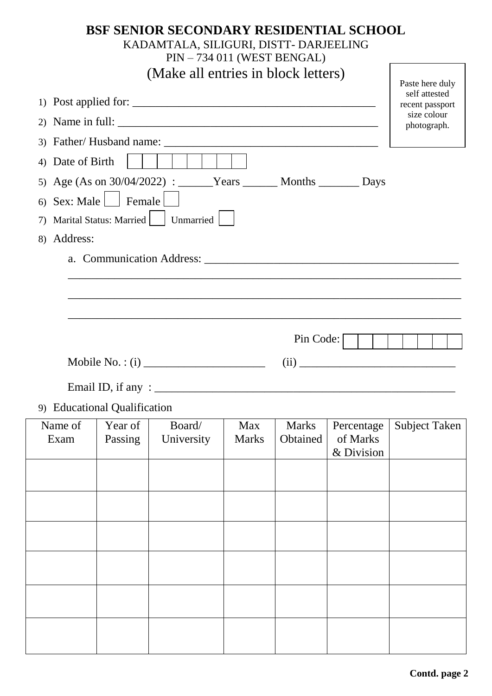# **BSF SENIOR SECONDARY RESIDENTIAL SCHOOL** KADAMTALA, SILIGURI, DISTT- DARJEELING PIN – 734 011 (WEST BENGAL) (Make all entries in block letters) Paste here duly

|                                                                                                                                            | self attested<br>recent passport |
|--------------------------------------------------------------------------------------------------------------------------------------------|----------------------------------|
| 2)                                                                                                                                         | size colour<br>photograph.       |
|                                                                                                                                            |                                  |
| Date of Birth<br>4)                                                                                                                        |                                  |
| 5) Age (As on 30/04/2022) : ______Years _______ Months ________ Days                                                                       |                                  |
| Sex: Male   Female<br>6)                                                                                                                   |                                  |
| Marital Status: Married     Unmarried  <br>7)                                                                                              |                                  |
| Address:<br>8)                                                                                                                             |                                  |
|                                                                                                                                            |                                  |
|                                                                                                                                            |                                  |
|                                                                                                                                            |                                  |
|                                                                                                                                            |                                  |
| Pin Code:                                                                                                                                  |                                  |
|                                                                                                                                            |                                  |
|                                                                                                                                            |                                  |
|                                                                                                                                            |                                  |
|                                                                                                                                            |                                  |
| 9) Educational Qualification                                                                                                               |                                  |
| Name of<br>Board/<br>Year of<br><b>Marks</b><br>Percentage<br>Max<br>of Marks<br>Passing<br>University<br>Obtained<br><b>Marks</b><br>Exam | Subject Taken                    |
| & Division                                                                                                                                 |                                  |
|                                                                                                                                            |                                  |
|                                                                                                                                            |                                  |
|                                                                                                                                            |                                  |
|                                                                                                                                            |                                  |
|                                                                                                                                            |                                  |
|                                                                                                                                            |                                  |
|                                                                                                                                            |                                  |
|                                                                                                                                            |                                  |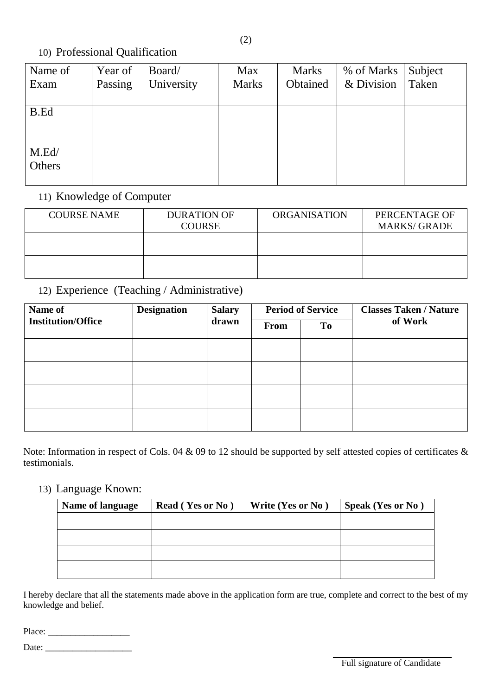# 10) Professional Qualification

| Name of | Year of | Board/     | <b>Max</b>   | <b>Marks</b> | % of Marks | Subject |
|---------|---------|------------|--------------|--------------|------------|---------|
| Exam    | Passing | University | <b>Marks</b> | Obtained     | & Division | Taken   |
|         |         |            |              |              |            |         |
| B.Ed    |         |            |              |              |            |         |
|         |         |            |              |              |            |         |
|         |         |            |              |              |            |         |
| M.Ed/   |         |            |              |              |            |         |
| Others  |         |            |              |              |            |         |
|         |         |            |              |              |            |         |

# 11) Knowledge of Computer

| <b>COURSE NAME</b> | <b>DURATION OF</b><br><b>COURSE</b> | <b>ORGANISATION</b> | PERCENTAGE OF<br><b>MARKS/ GRADE</b> |
|--------------------|-------------------------------------|---------------------|--------------------------------------|
|                    |                                     |                     |                                      |
|                    |                                     |                     |                                      |

# 12) Experience (Teaching / Administrative)

| Name of                   | <b>Designation</b> | <b>Salary</b> | <b>Period of Service</b> |           | <b>Classes Taken / Nature</b> |
|---------------------------|--------------------|---------------|--------------------------|-----------|-------------------------------|
| <b>Institution/Office</b> |                    | drawn         | From                     | <b>To</b> | of Work                       |
|                           |                    |               |                          |           |                               |
|                           |                    |               |                          |           |                               |
|                           |                    |               |                          |           |                               |
|                           |                    |               |                          |           |                               |

Note: Information in respect of Cols. 04 & 09 to 12 should be supported by self attested copies of certificates & testimonials.

## 13) Language Known:

| Name of language | <b>Read (Yes or No)</b> | Write (Yes or No) | <b>Speak (Yes or No)</b> |
|------------------|-------------------------|-------------------|--------------------------|
|                  |                         |                   |                          |
|                  |                         |                   |                          |
|                  |                         |                   |                          |
|                  |                         |                   |                          |

I hereby declare that all the statements made above in the application form are true, complete and correct to the best of my knowledge and belief.

Place: \_\_\_\_\_\_\_\_\_\_\_\_\_\_\_\_\_\_

Date:  $\frac{2}{\sqrt{2\pi}}$